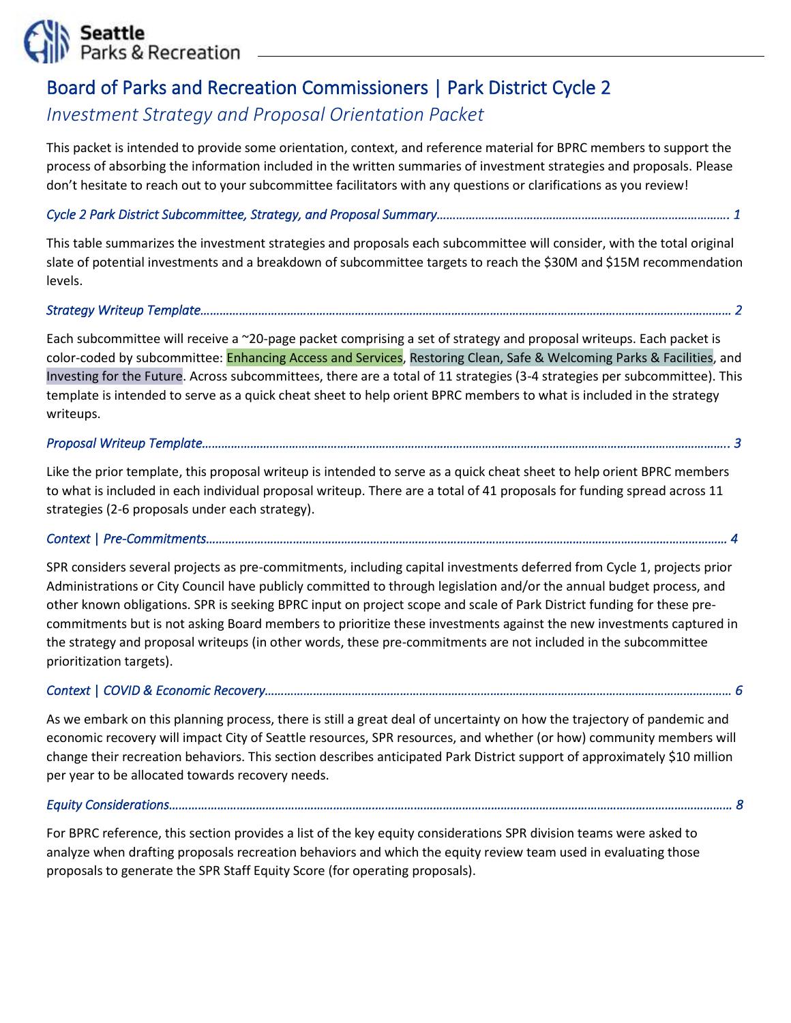

# Board of Parks and Recreation Commissioners | Park District Cycle 2

## *Investment Strategy and Proposal Orientation Packet*

This packet is intended to provide some orientation, context, and reference material for BPRC members to support the process of absorbing the information included in the written summaries of investment strategies and proposals. Please don't hesitate to reach out to your subcommittee facilitators with any questions or clarifications as you review!

*Cycle 2 Park District Subcommittee, Strategy, and Proposal Summary………………………………………………………………………………. 1* 

This table summarizes the investment strategies and proposals each subcommittee will consider, with the total original slate of potential investments and a breakdown of subcommittee targets to reach the \$30M and \$15M recommendation levels.

### *Strategy Writeup Template………………………………………………………………………………………………………………………………………………… 2*

Each subcommittee will receive a ~20-page packet comprising a set of strategy and proposal writeups. Each packet is color-coded by subcommittee: Enhancing Access and Services, Restoring Clean, Safe & Welcoming Parks & Facilities, and Investing for the Future. Across subcommittees, there are a total of 11 strategies (3-4 strategies per subcommittee). This template is intended to serve as a quick cheat sheet to help orient BPRC members to what is included in the strategy writeups.

### *Proposal Writeup Template……………………………………………………………………………………………………………………………………………….. 3*

Like the prior template, this proposal writeup is intended to serve as a quick cheat sheet to help orient BPRC members to what is included in each individual proposal writeup. There are a total of 41 proposals for funding spread across 11 strategies (2-6 proposals under each strategy).

### *Context* | *Pre-Commitments……………………………………………………………………………………………………………………………………………… 4*

SPR considers several projects as pre-commitments, including capital investments deferred from Cycle 1, projects prior Administrations or City Council have publicly committed to through legislation and/or the annual budget process, and other known obligations. SPR is seeking BPRC input on project scope and scale of Park District funding for these precommitments but is not asking Board members to prioritize these investments against the new investments captured in the strategy and proposal writeups (in other words, these pre-commitments are not included in the subcommittee prioritization targets).

### *Context* | *COVID & Economic Recovery……………………………………………………….……………………………………………………………………… <sup>6</sup>*

As we embark on this planning process, there is still a great deal of uncertainty on how the trajectory of pandemic and economic recovery will impact City of Seattle resources, SPR resources, and whether (or how) community members will change their recreation behaviors. This section describes anticipated Park District support of approximately \$10 million per year to be allocated towards recovery needs.

#### *Equity Considerations……………………………………………………….………………………………………………………………………………………………… <sup>8</sup>*

For BPRC reference, this section provides a list of the key equity considerations SPR division teams were asked to analyze when drafting proposals recreation behaviors and which the equity review team used in evaluating those proposals to generate the SPR Staff Equity Score (for operating proposals).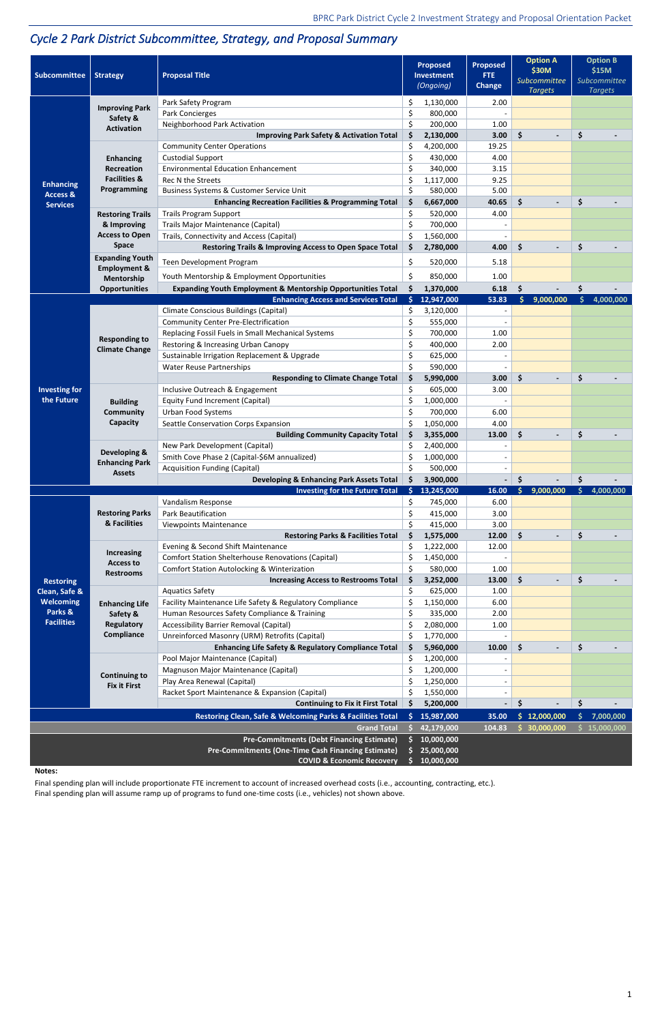1

# *Cycle 2 Park District Subcommittee, Strategy, and Proposal Summary*

|                                                  | <b>Strategy</b>                                                                                              |                                                                        |    | <b>Proposed</b> | <b>Proposed</b>          | <b>Option A</b><br>\$30M | <b>Option B</b><br>\$15M |
|--------------------------------------------------|--------------------------------------------------------------------------------------------------------------|------------------------------------------------------------------------|----|-----------------|--------------------------|--------------------------|--------------------------|
| <b>Subcommittee</b>                              |                                                                                                              | <b>Proposal Title</b>                                                  |    | Investment      | FTE.                     | Subcommittee             | Subcommittee             |
|                                                  |                                                                                                              |                                                                        |    | (Ongoing)       | <b>Change</b>            | <b>Targets</b>           | <b>Targets</b>           |
|                                                  | <b>Improving Park</b>                                                                                        | Park Safety Program                                                    | \$ | 1,130,000       | 2.00                     |                          |                          |
|                                                  | Safety &                                                                                                     | Park Concierges                                                        | \$ | 800,000         |                          |                          |                          |
|                                                  | <b>Activation</b>                                                                                            | Neighborhood Park Activation                                           | \$ | 200,000         | 1.00                     |                          |                          |
|                                                  |                                                                                                              | <b>Improving Park Safety &amp; Activation Total</b>                    | \$ | 2,130,000       | 3.00                     | \$                       | \$                       |
|                                                  |                                                                                                              | <b>Community Center Operations</b>                                     | \$ | 4,200,000       | 19.25                    |                          |                          |
|                                                  | <b>Enhancing</b>                                                                                             | <b>Custodial Support</b>                                               | \$ | 430,000         | 4.00                     |                          |                          |
|                                                  | Recreation                                                                                                   | <b>Environmental Education Enhancement</b>                             | \$ | 340,000         | 3.15                     |                          |                          |
| <b>Enhancing</b>                                 | <b>Facilities &amp;</b>                                                                                      | Rec N the Streets                                                      | \$ | 1,117,000       | 9.25                     |                          |                          |
| <b>Access &amp;</b>                              | Programming                                                                                                  | Business Systems & Customer Service Unit                               | \$ | 580,000         | 5.00                     |                          |                          |
| <b>Services</b>                                  |                                                                                                              | <b>Enhancing Recreation Facilities &amp; Programming Total</b>         | \$ | 6,667,000       | 40.65                    | \$                       | \$                       |
|                                                  | <b>Restoring Trails</b>                                                                                      | <b>Trails Program Support</b>                                          | \$ | 520,000         | 4.00                     |                          |                          |
|                                                  | & Improving                                                                                                  | Trails Major Maintenance (Capital)                                     | \$ | 700,000         |                          |                          |                          |
|                                                  | <b>Access to Open</b>                                                                                        | Trails, Connectivity and Access (Capital)                              | \$ | 1,560,000       |                          |                          |                          |
|                                                  | Space                                                                                                        | <b>Restoring Trails &amp; Improving Access to Open Space Total</b>     | \$ | 2,780,000       | 4.00                     | \$                       | \$                       |
|                                                  | <b>Expanding Youth</b>                                                                                       | Teen Development Program                                               | \$ | 520,000         | 5.18                     |                          |                          |
|                                                  | <b>Employment &amp;</b><br>Mentorship                                                                        | Youth Mentorship & Employment Opportunities                            | \$ | 850,000         | 1.00                     |                          |                          |
|                                                  | <b>Opportunities</b>                                                                                         | <b>Expanding Youth Employment &amp; Mentorship Opportunities Total</b> | \$ | 1,370,000       | 6.18                     | \$                       | \$                       |
|                                                  |                                                                                                              | <b>Enhancing Access and Services Total</b>                             | S. | 12,947,000      | 53.83                    | 9,000,000<br>Š.          | Ŝ.<br>4,000,000          |
|                                                  |                                                                                                              | <b>Climate Conscious Buildings (Capital)</b>                           | \$ | 3,120,000       |                          |                          |                          |
|                                                  |                                                                                                              | <b>Community Center Pre-Electrification</b>                            | \$ | 555,000         |                          |                          |                          |
|                                                  |                                                                                                              | Replacing Fossil Fuels in Small Mechanical Systems                     | \$ | 700,000         | 1.00                     |                          |                          |
|                                                  | <b>Responding to</b>                                                                                         | Restoring & Increasing Urban Canopy                                    | \$ | 400,000         | 2.00                     |                          |                          |
|                                                  | <b>Climate Change</b>                                                                                        | Sustainable Irrigation Replacement & Upgrade                           | \$ | 625,000         |                          |                          |                          |
|                                                  |                                                                                                              | <b>Water Reuse Partnerships</b>                                        | \$ | 590,000         |                          |                          |                          |
|                                                  |                                                                                                              | <b>Responding to Climate Change Total</b>                              | \$ | 5,990,000       | 3.00                     | \$                       | \$                       |
| <b>Investing for</b>                             |                                                                                                              | Inclusive Outreach & Engagement                                        | \$ | 605,000         | 3.00                     |                          |                          |
| the Future                                       | <b>Building</b>                                                                                              | <b>Equity Fund Increment (Capital)</b>                                 | \$ | 1,000,000       |                          |                          |                          |
|                                                  | <b>Community</b><br>Capacity                                                                                 | Urban Food Systems                                                     | \$ | 700,000         | 6.00                     |                          |                          |
|                                                  |                                                                                                              | Seattle Conservation Corps Expansion                                   | \$ | 1,050,000       | 4.00                     |                          |                          |
|                                                  |                                                                                                              | <b>Building Community Capacity Total</b>                               | \$ | 3,355,000       | 13.00                    | \$                       | \$                       |
|                                                  |                                                                                                              | New Park Development (Capital)                                         |    | 2,400,000       |                          |                          |                          |
|                                                  | Developing &<br><b>Enhancing Park</b>                                                                        | Smith Cove Phase 2 (Capital-\$6M annualized)                           | \$ | 1,000,000       |                          |                          |                          |
|                                                  |                                                                                                              | <b>Acquisition Funding (Capital)</b>                                   | \$ | 500,000         |                          |                          |                          |
|                                                  | <b>Assets</b>                                                                                                | <b>Developing &amp; Enhancing Park Assets Total</b>                    | S  | 3,900,000       |                          | \$                       | \$                       |
|                                                  |                                                                                                              | <b>Investing for the Future Total</b>                                  | S. | 13,245,000      | 16.00                    | Ŝ.<br>9,000,000          | Ŝ.<br>4,000,000          |
|                                                  |                                                                                                              | Vandalism Response                                                     | \$ | 745,000         | 6.00                     |                          |                          |
|                                                  | <b>Restoring Parks</b><br>& Facilities                                                                       | Park Beautification                                                    | \$ | 415,000         | 3.00                     |                          |                          |
|                                                  |                                                                                                              | <b>Viewpoints Maintenance</b>                                          | \$ | 415,000         | 3.00                     |                          |                          |
|                                                  |                                                                                                              | <b>Restoring Parks &amp; Facilities Total</b>                          | \$ | 1,575,000       | 12.00                    | \$                       | \$                       |
|                                                  | <b>Increasing</b><br><b>Access to</b><br><b>Restrooms</b>                                                    | Evening & Second Shift Maintenance                                     | \$ | 1,222,000       | 12.00                    |                          |                          |
|                                                  |                                                                                                              | Comfort Station Shelterhouse Renovations (Capital)                     | \$ | 1,450,000       |                          |                          |                          |
|                                                  |                                                                                                              | Comfort Station Autolocking & Winterization                            | \$ | 580,000         | 1.00                     |                          |                          |
| <b>Restoring</b>                                 |                                                                                                              | <b>Increasing Access to Restrooms Total</b>                            | \$ | 3,252,000       | 13.00                    | \$                       | \$                       |
| Clean, Safe &                                    |                                                                                                              | <b>Aquatics Safety</b>                                                 | \$ | 625,000         | 1.00                     |                          |                          |
| <b>Welcoming</b><br>Parks &<br><b>Facilities</b> | <b>Enhancing Life</b><br>Safety &<br>Regulatory<br>Compliance<br><b>Continuing to</b><br><b>Fix it First</b> | Facility Maintenance Life Safety & Regulatory Compliance               | \$ | 1,150,000       | 6.00                     |                          |                          |
|                                                  |                                                                                                              | Human Resources Safety Compliance & Training                           | \$ | 335,000         | 2.00                     |                          |                          |
|                                                  |                                                                                                              | Accessibility Barrier Removal (Capital)                                | \$ | 2,080,000       | 1.00                     |                          |                          |
|                                                  |                                                                                                              | Unreinforced Masonry (URM) Retrofits (Capital)                         | \$ | 1,770,000       |                          |                          |                          |
|                                                  |                                                                                                              | <b>Enhancing Life Safety &amp; Regulatory Compliance Total</b>         | \$ | 5,960,000       | 10.00                    | \$                       | \$                       |
|                                                  |                                                                                                              | Pool Major Maintenance (Capital)                                       | \$ | 1,200,000       |                          |                          |                          |
|                                                  |                                                                                                              | Magnuson Major Maintenance (Capital)                                   | \$ | 1,200,000       |                          |                          |                          |
|                                                  |                                                                                                              | Play Area Renewal (Capital)                                            | \$ | 1,250,000       |                          |                          |                          |
|                                                  |                                                                                                              | Racket Sport Maintenance & Expansion (Capital)                         | \$ | 1,550,000       |                          |                          |                          |
|                                                  |                                                                                                              | <b>Continuing to Fix it First Total</b>                                | \$ | 5,200,000       | $\overline{\phantom{a}}$ | \$                       | \$                       |
|                                                  |                                                                                                              | Restoring Clean, Safe & Welcoming Parks & Facilities Total             | S. | 15,987,000      | 35.00                    | \$12,000,000             | 7,000,000<br>S.          |
|                                                  |                                                                                                              | <b>Grand Total</b>                                                     |    | 42,179,000      | 104.83                   | \$30,000,000             | \$15,000,000             |
|                                                  |                                                                                                              | <b>Pre-Commitments (Debt Financing Estimate)</b>                       | Ś. | 10,000,000      |                          |                          |                          |

| Pre-Commitments (One-Time Cash Financing Estimate) \$ 25,000,000 |  |
|------------------------------------------------------------------|--|
| COVID & Economic Recovery \$ 10,000,000                          |  |
|                                                                  |  |

#### **Notes:**

Final spending plan will include proportionate FTE increment to account of increased overhead costs (i.e., accounting, contracting, etc.). Final spending plan will assume ramp up of programs to fund one-time costs (i.e., vehicles) not shown above.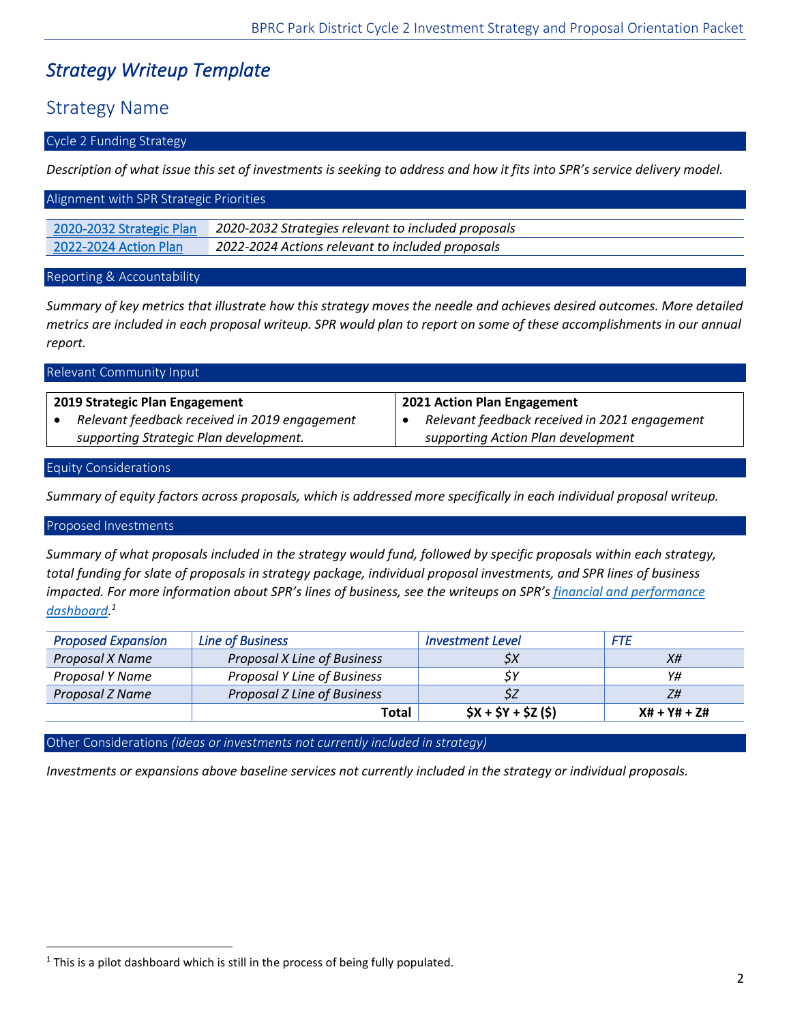# *Strategy Writeup Template*

### Strategy Name

### Cycle 2 Funding Strategy

*Description of what issue this set of investments is seeking to address and how it fits into SPR's service delivery model.*

| Alignment with SPR Strategic Priorities |                                                     |  |  |  |
|-----------------------------------------|-----------------------------------------------------|--|--|--|
|                                         |                                                     |  |  |  |
| 2020-2032 Strategic Plan                | 2020-2032 Strategies relevant to included proposals |  |  |  |
| 2022-2024 Action Plan                   | 2022-2024 Actions relevant to included proposals    |  |  |  |

#### Reporting & Accountability

*Summary of key metrics that illustrate how this strategy moves the needle and achieves desired outcomes. More detailed metrics are included in each proposal writeup. SPR would plan to report on some of these accomplishments in our annual report.*

| Relevant Community Input                      |                                               |
|-----------------------------------------------|-----------------------------------------------|
|                                               |                                               |
| 2019 Strategic Plan Engagement                | 2021 Action Plan Engagement                   |
| Relevant feedback received in 2019 engagement | Relevant feedback received in 2021 engagement |
| supporting Strategic Plan development.        | supporting Action Plan development            |
|                                               |                                               |

#### Equity Considerations

*Summary of equity factors across proposals, which is addressed more specifically in each individual proposal writeup.* 

#### Proposed Investments

*Summary of what proposals included in the strategy would fund, followed by specific proposals within each strategy, total funding for slate of proposals in strategy package, individual proposal investments, and SPR lines of business impacted. For more information about SPR's lines of business, see the writeups on SPR's [financial and performance](https://data.seattle.gov/stories/s/uexj-i935)  [dashboard.](https://data.seattle.gov/stories/s/uexj-i935) 1*

| <b>Proposed Expansion</b> | <b>Line of Business</b>     | <b>Investment Level</b> | <i>FTE</i>     |
|---------------------------|-----------------------------|-------------------------|----------------|
| Proposal X Name           | Proposal X Line of Business |                         | X#             |
| Proposal Y Name           | Proposal Y Line of Business |                         | Y#             |
| Proposal Z Name           | Proposal Z Line of Business |                         | Z#             |
|                           | Total                       | $$X + $Y + $Z ($)$      | $X# + Y# + Z#$ |

Other Considerations *(ideas or investments not currently included in strategy)* 

*Investments or expansions above baseline services not currently included in the strategy or individual proposals.* 

 $1$  This is a pilot dashboard which is still in the process of being fully populated.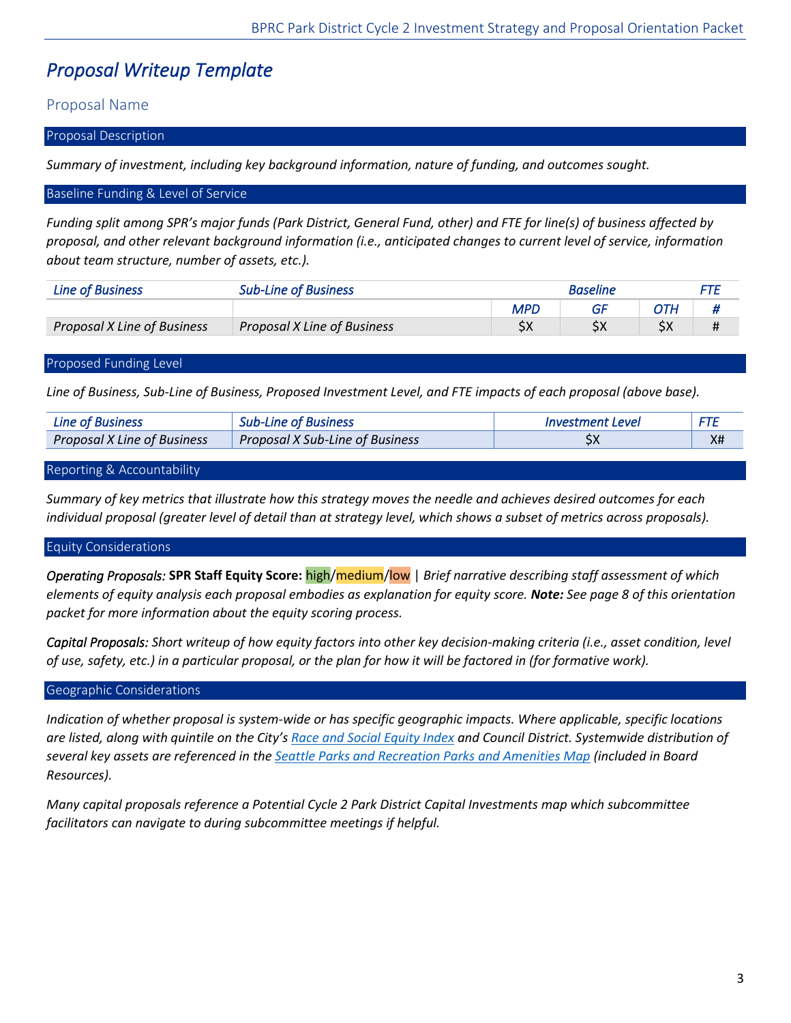# *Proposal Writeup Template*

### Proposal Name

#### Proposal Description

*Summary of investment, including key background information, nature of funding, and outcomes sought.*

#### Baseline Funding & Level of Service

*Funding split among SPR's major funds (Park District, General Fund, other) and FTE for line(s) of business affected by proposal, and other relevant background information (i.e., anticipated changes to current level of service, information about team structure, number of assets, etc.).*

| <b>Line of Business</b>     | <b>Sub-Line of Business</b> |            | Baseline |  |   |  |
|-----------------------------|-----------------------------|------------|----------|--|---|--|
|                             |                             | <b>MPF</b> | GF       |  |   |  |
| Proposal X Line of Business | Proposal X Line of Business |            |          |  | # |  |

#### Proposed Funding Level

*Line of Business, Sub-Line of Business, Proposed Investment Level, and FTE impacts of each proposal (above base).*

| <b>Line of Business</b>     | <b>Sub-Line of Business</b>            | Investment Level | FTE |
|-----------------------------|----------------------------------------|------------------|-----|
| Proposal X Line of Business | <b>Proposal X Sub-Line of Business</b> | ∧د               | X#  |

#### Reporting & Accountability

*Summary of key metrics that illustrate how this strategy moves the needle and achieves desired outcomes for each individual proposal (greater level of detail than at strategy level, which shows a subset of metrics across proposals).* 

#### Equity Considerations

*Operating Proposals:* **SPR Staff Equity Score:** high/medium/low | *Brief narrative describing staff assessment of which elements of equity analysis each proposal embodies as explanation for equity score. Note: See page 8 of this orientation packet for more information about the equity scoring process.*

*Capital Proposals: Short writeup of how equity factors into other key decision-making criteria (i.e., asset condition, level of use, safety, etc.) in a particular proposal, or the plan for how it will be factored in (for formative work).*

#### Geographic Considerations

*Indication of whether proposal is system-wide or has specific geographic impacts. Where applicable, specific locations are listed, along with quintile on the City's [Race and Social Equity Index](https://seattlecitygis.maps.arcgis.com/apps/Minimalist/index.html?appid=764b5d8988574644b61e644e9fbe30d1) and Council District. Systemwide distribution of several key assets are referenced in the [Seattle Parks and Recreation Parks and Amenities Map](https://seattlecitygis.maps.arcgis.com/apps/instant/basic/index.html?appid=d2d97894f87c42e4b31ec14024d43775) (included in Board Resources).* 

*Many capital proposals reference a Potential Cycle 2 Park District Capital Investments map which subcommittee facilitators can navigate to during subcommittee meetings if helpful.*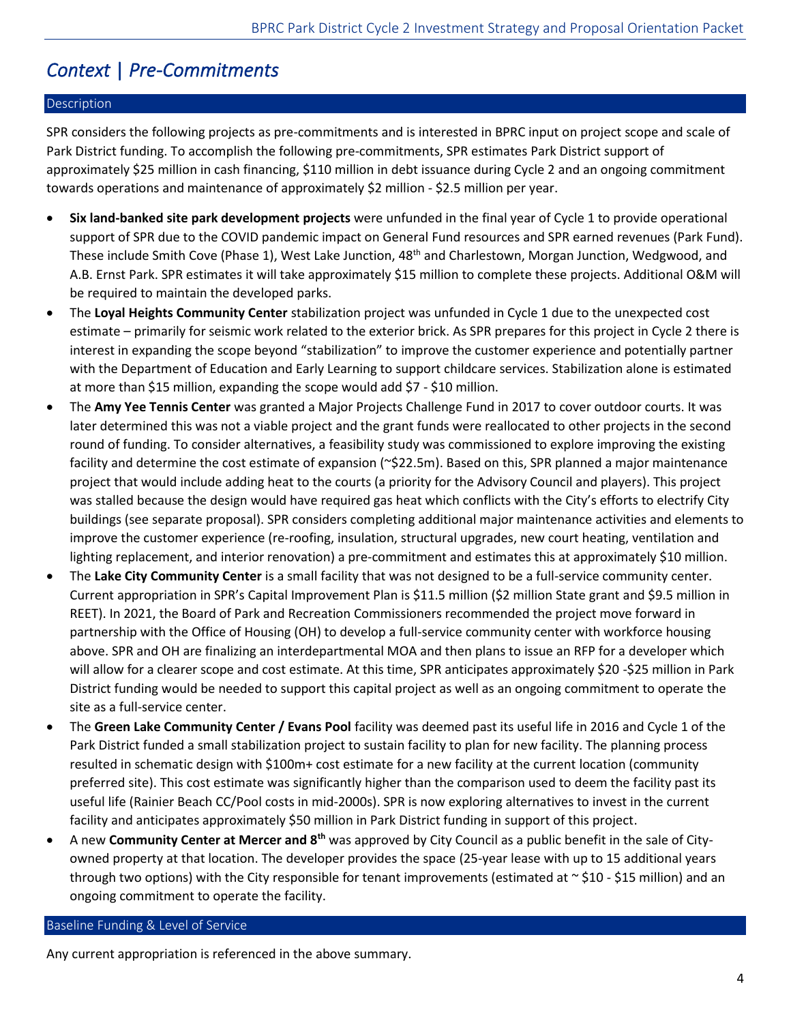# *Context* | *Pre-Commitments*

#### **Description**

SPR considers the following projects as pre-commitments and is interested in BPRC input on project scope and scale of Park District funding. To accomplish the following pre-commitments, SPR estimates Park District support of approximately \$25 million in cash financing, \$110 million in debt issuance during Cycle 2 and an ongoing commitment towards operations and maintenance of approximately \$2 million - \$2.5 million per year.

- **Six land-banked site park development projects** were unfunded in the final year of Cycle 1 to provide operational support of SPR due to the COVID pandemic impact on General Fund resources and SPR earned revenues (Park Fund). These include Smith Cove (Phase 1), West Lake Junction, 48<sup>th</sup> and Charlestown, Morgan Junction, Wedgwood, and A.B. Ernst Park. SPR estimates it will take approximately \$15 million to complete these projects. Additional O&M will be required to maintain the developed parks.
- The **Loyal Heights Community Center** stabilization project was unfunded in Cycle 1 due to the unexpected cost estimate – primarily for seismic work related to the exterior brick. As SPR prepares for this project in Cycle 2 there is interest in expanding the scope beyond "stabilization" to improve the customer experience and potentially partner with the Department of Education and Early Learning to support childcare services. Stabilization alone is estimated at more than \$15 million, expanding the scope would add \$7 - \$10 million.
- The **Amy Yee Tennis Center** was granted a Major Projects Challenge Fund in 2017 to cover outdoor courts. It was later determined this was not a viable project and the grant funds were reallocated to other projects in the second round of funding. To consider alternatives, a feasibility study was commissioned to explore improving the existing facility and determine the cost estimate of expansion (~\$22.5m). Based on this, SPR planned a major maintenance project that would include adding heat to the courts (a priority for the Advisory Council and players). This project was stalled because the design would have required gas heat which conflicts with the City's efforts to electrify City buildings (see separate proposal). SPR considers completing additional major maintenance activities and elements to improve the customer experience (re-roofing, insulation, structural upgrades, new court heating, ventilation and lighting replacement, and interior renovation) a pre-commitment and estimates this at approximately \$10 million.
- The **Lake City Community Center** is a small facility that was not designed to be a full-service community center. Current appropriation in SPR's Capital Improvement Plan is \$11.5 million (\$2 million State grant and \$9.5 million in REET). In 2021, the Board of Park and Recreation Commissioners recommended the project move forward in partnership with the Office of Housing (OH) to develop a full-service community center with workforce housing above. SPR and OH are finalizing an interdepartmental MOA and then plans to issue an RFP for a developer which will allow for a clearer scope and cost estimate. At this time, SPR anticipates approximately \$20 -\$25 million in Park District funding would be needed to support this capital project as well as an ongoing commitment to operate the site as a full-service center.
- The **Green Lake Community Center / Evans Pool** facility was deemed past its useful life in 2016 and Cycle 1 of the Park District funded a small stabilization project to sustain facility to plan for new facility. The planning process resulted in schematic design with \$100m+ cost estimate for a new facility at the current location (community preferred site). This cost estimate was significantly higher than the comparison used to deem the facility past its useful life (Rainier Beach CC/Pool costs in mid-2000s). SPR is now exploring alternatives to invest in the current facility and anticipates approximately \$50 million in Park District funding in support of this project.
- A new **Community Center at Mercer and 8th** was approved by City Council as a public benefit in the sale of Cityowned property at that location. The developer provides the space (25-year lease with up to 15 additional years through two options) with the City responsible for tenant improvements (estimated at  $\sim$  \$10 - \$15 million) and an ongoing commitment to operate the facility.

Baseline Funding & Level of Service

Any current appropriation is referenced in the above summary.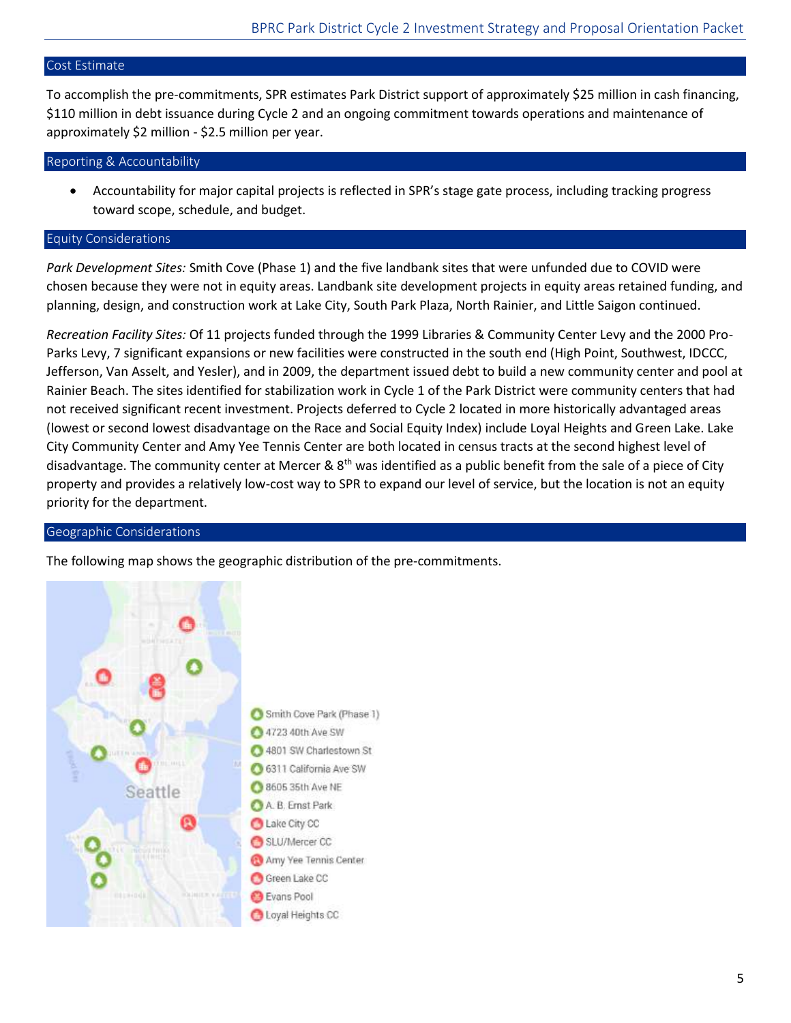#### Cost Estimate

To accomplish the pre-commitments, SPR estimates Park District support of approximately \$25 million in cash financing, \$110 million in debt issuance during Cycle 2 and an ongoing commitment towards operations and maintenance of approximately \$2 million - \$2.5 million per year.

#### Reporting & Accountability

• Accountability for major capital projects is reflected in SPR's stage gate process, including tracking progress toward scope, schedule, and budget.

#### Equity Considerations

*Park Development Sites:* Smith Cove (Phase 1) and the five landbank sites that were unfunded due to COVID were chosen because they were not in equity areas. Landbank site development projects in equity areas retained funding, and planning, design, and construction work at Lake City, South Park Plaza, North Rainier, and Little Saigon continued.

*Recreation Facility Sites:* Of 11 projects funded through the 1999 Libraries & Community Center Levy and the 2000 Pro-Parks Levy, 7 significant expansions or new facilities were constructed in the south end (High Point, Southwest, IDCCC, Jefferson, Van Asselt, and Yesler), and in 2009, the department issued debt to build a new community center and pool at Rainier Beach. The sites identified for stabilization work in Cycle 1 of the Park District were community centers that had not received significant recent investment. Projects deferred to Cycle 2 located in more historically advantaged areas (lowest or second lowest disadvantage on the Race and Social Equity Index) include Loyal Heights and Green Lake. Lake City Community Center and Amy Yee Tennis Center are both located in census tracts at the second highest level of disadvantage. The community center at Mercer &  $8<sup>th</sup>$  was identified as a public benefit from the sale of a piece of City property and provides a relatively low-cost way to SPR to expand our level of service, but the location is not an equity priority for the department.

#### Geographic Considerations

The following map shows the geographic distribution of the pre-commitments.

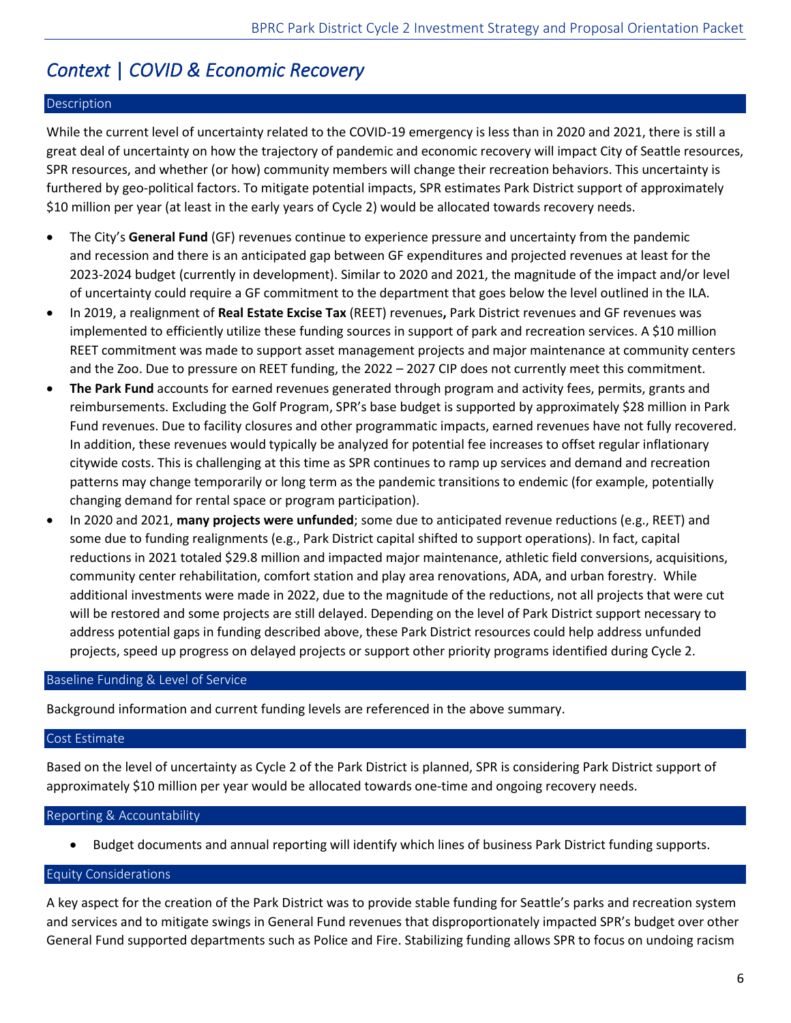# *Context* | *COVID & Economic Recovery*

#### **Description**

While the current level of uncertainty related to the COVID-19 emergency is less than in 2020 and 2021, there is still a great deal of uncertainty on how the trajectory of pandemic and economic recovery will impact City of Seattle resources, SPR resources, and whether (or how) community members will change their recreation behaviors. This uncertainty is furthered by geo-political factors. To mitigate potential impacts, SPR estimates Park District support of approximately \$10 million per year (at least in the early years of Cycle 2) would be allocated towards recovery needs.

- The City's **General Fund** (GF) revenues continue to experience pressure and uncertainty from the pandemic and recession and there is an anticipated gap between GF expenditures and projected revenues at least for the 2023-2024 budget (currently in development). Similar to 2020 and 2021, the magnitude of the impact and/or level of uncertainty could require a GF commitment to the department that goes below the level outlined in the ILA.
- In 2019, a realignment of **Real Estate Excise Tax** (REET) revenues**,** Park District revenues and GF revenues was implemented to efficiently utilize these funding sources in support of park and recreation services. A \$10 million REET commitment was made to support asset management projects and major maintenance at community centers and the Zoo. Due to pressure on REET funding, the 2022 – 2027 CIP does not currently meet this commitment.
- **The Park Fund** accounts for earned revenues generated through program and activity fees, permits, grants and reimbursements. Excluding the Golf Program, SPR's base budget is supported by approximately \$28 million in Park Fund revenues. Due to facility closures and other programmatic impacts, earned revenues have not fully recovered. In addition, these revenues would typically be analyzed for potential fee increases to offset regular inflationary citywide costs. This is challenging at this time as SPR continues to ramp up services and demand and recreation patterns may change temporarily or long term as the pandemic transitions to endemic (for example, potentially changing demand for rental space or program participation).
- In 2020 and 2021, **many projects were unfunded**; some due to anticipated revenue reductions (e.g., REET) and some due to funding realignments (e.g., Park District capital shifted to support operations). In fact, capital reductions in 2021 totaled \$29.8 million and impacted major maintenance, athletic field conversions, acquisitions, community center rehabilitation, comfort station and play area renovations, ADA, and urban forestry. While additional investments were made in 2022, due to the magnitude of the reductions, not all projects that were cut will be restored and some projects are still delayed. Depending on the level of Park District support necessary to address potential gaps in funding described above, these Park District resources could help address unfunded projects, speed up progress on delayed projects or support other priority programs identified during Cycle 2.

#### Baseline Funding & Level of Service

Background information and current funding levels are referenced in the above summary.

#### Cost Estimate

Based on the level of uncertainty as Cycle 2 of the Park District is planned, SPR is considering Park District support of approximately \$10 million per year would be allocated towards one-time and ongoing recovery needs.

#### Reporting & Accountability

• Budget documents and annual reporting will identify which lines of business Park District funding supports.

#### Equity Considerations

A key aspect for the creation of the Park District was to provide stable funding for Seattle's parks and recreation system and services and to mitigate swings in General Fund revenues that disproportionately impacted SPR's budget over other General Fund supported departments such as Police and Fire. Stabilizing funding allows SPR to focus on undoing racism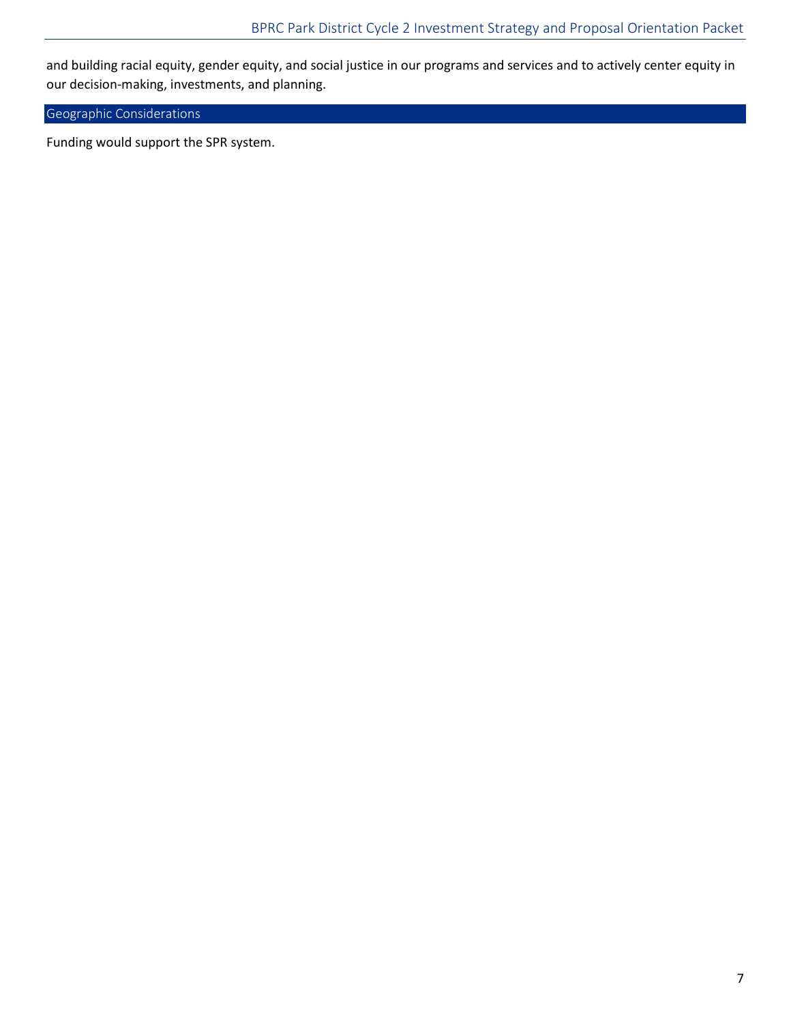and building racial equity, gender equity, and social justice in our programs and services and to actively center equity in our decision-making, investments, and planning.

### Geographic Considerations

Funding would support the SPR system.